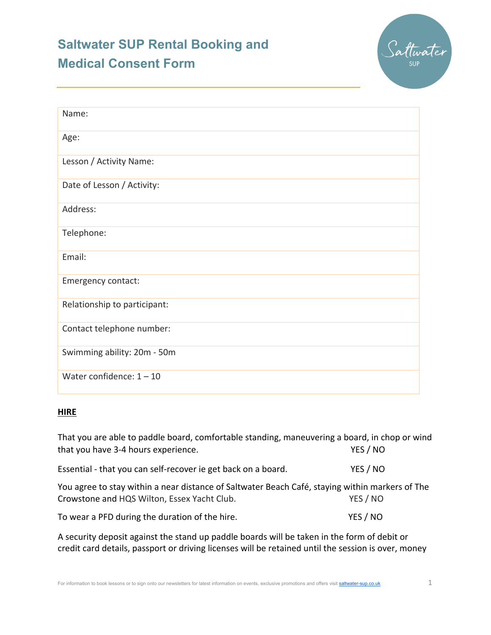# **Saltwater SUP Rental Booking and Medical Consent Form**



| Name:                        |
|------------------------------|
| Age:                         |
| Lesson / Activity Name:      |
| Date of Lesson / Activity:   |
| Address:                     |
| Telephone:                   |
| Email:                       |
| Emergency contact:           |
| Relationship to participant: |
| Contact telephone number:    |
| Swimming ability: 20m - 50m  |
| Water confidence: $1 - 10$   |

## **HIRE**

| That you are able to paddle board, comfortable standing, maneuvering a board, in chop or wind   |          |
|-------------------------------------------------------------------------------------------------|----------|
| that you have 3-4 hours experience.                                                             | YES / NO |
| Essential - that you can self-recover ie get back on a board.                                   | YES / NO |
| You agree to stay within a near distance of Saltwater Beach Café, staying within markers of The |          |
| Crowstone and HQS Wilton, Essex Yacht Club.                                                     | YES / NO |
| To wear a PFD during the duration of the hire.                                                  | YES / NO |

A security deposit against the stand up paddle boards will be taken in the form of debit or credit card details, passport or driving licenses will be retained until the session is over, money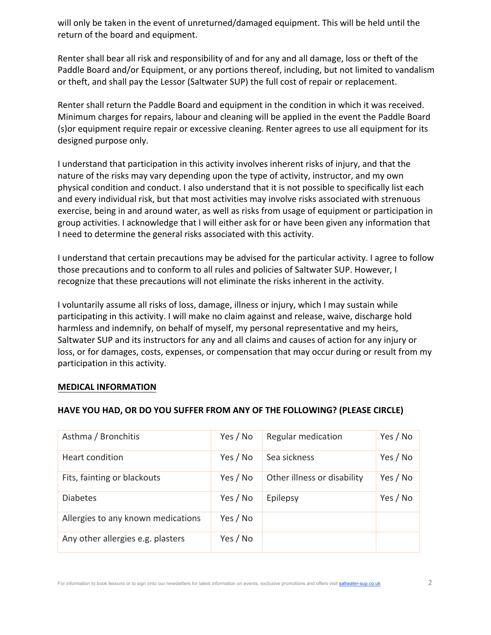will only be taken in the event of unreturned/damaged equipment. This will be held until the return of the board and equipment.

Renter shall bear all risk and responsibility of and for any and all damage, loss or theft of the Paddle Board and/or Equipment, or any portions thereof, including, but not limited to vandalism or theft, and shall pay the Lessor (Saltwater SUP) the full cost of repair or replacement.

Renter shall return the Paddle Board and equipment in the condition in which it was received. Minimum charges for repairs, labour and cleaning will be applied in the event the Paddle Board (s)or equipment require repair or excessive cleaning. Renter agrees to use all equipment for its designed purpose only.

I understand that participation in this activity involves inherent risks of injury, and that the nature of the risks may vary depending upon the type of activity, instructor, and my own physical condition and conduct. I also understand that it is not possible to specifically list each and every individual risk, but that most activities may involve risks associated with strenuous exercise, being in and around water, as well as risks from usage of equipment or participation in group activities. I acknowledge that I will either ask for or have been given any information that I need to determine the general risks associated with this activity.

I understand that certain precautions may be advised for the particular activity. I agree to follow those precautions and to conform to all rules and policies of Saltwater SUP. However, I recognize that these precautions will not eliminate the risks inherent in the activity.

I voluntarily assume all risks of loss, damage, illness or injury, which I may sustain while participating in this activity. I will make no claim against and release, waive, discharge hold harmless and indemnify, on behalf of myself, my personal representative and my heirs, Saltwater SUP and its instructors for any and all claims and causes of action for any injury or loss, or for damages, costs, expenses, or compensation that may occur during or result from my participation in this activity.

## **MEDICAL INFORMATION**

| Asthma / Bronchitis                | Yes / No | <b>Regular medication</b>   | Yes / No |
|------------------------------------|----------|-----------------------------|----------|
| Heart condition                    | Yes / No | Sea sickness                | Yes / No |
| Fits, fainting or blackouts        | Yes / No | Other illness or disability | Yes / No |
| <b>Diabetes</b>                    | Yes / No | Epilepsy                    | Yes / No |
| Allergies to any known medications | Yes / No |                             |          |
| Any other allergies e.g. plasters  | Yes / No |                             |          |

## **HAVE YOU HAD, OR DO YOU SUFFER FROM ANY OF THE FOLLOWING? (PLEASE CIRCLE)**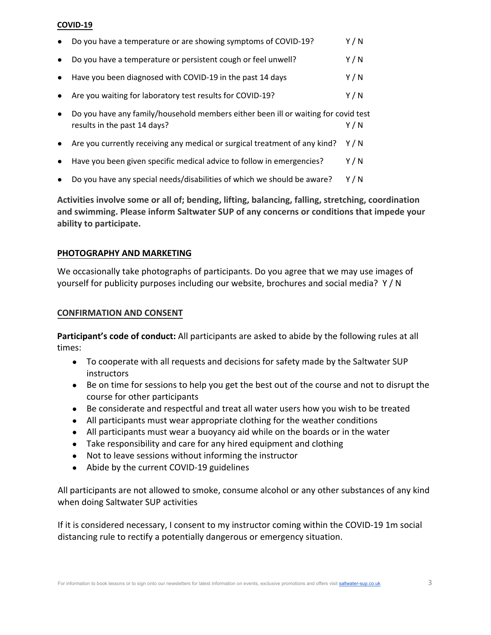#### **COVID-19**

| Do you have a temperature or are showing symptoms of COVID-19?                                                     | Y/N |
|--------------------------------------------------------------------------------------------------------------------|-----|
| Do you have a temperature or persistent cough or feel unwell?                                                      | Y/N |
| Have you been diagnosed with COVID-19 in the past 14 days                                                          | Y/N |
| Are you waiting for laboratory test results for COVID-19?                                                          | Y/N |
| Do you have any family/household members either been ill or waiting for covid test<br>results in the past 14 days? | Y/N |
| Are you currently receiving any medical or surgical treatment of any kind?                                         | Y/N |
| Have you been given specific medical advice to follow in emergencies?                                              | Y/N |
|                                                                                                                    |     |

• Do you have any special needs/disabilities of which we should be aware?  $Y/N$ 

**Activities involve some or all of; bending, lifting, balancing, falling, stretching, coordination and swimming. Please inform Saltwater SUP of any concerns or conditions that impede your ability to participate.**

## **PHOTOGRAPHY AND MARKETING**

We occasionally take photographs of participants. Do you agree that we may use images of yourself for publicity purposes including our website, brochures and social media? Y / N

### **CONFIRMATION AND CONSENT**

**Participant's code of conduct:** All participants are asked to abide by the following rules at all times:

- To cooperate with all requests and decisions for safety made by the Saltwater SUP **instructors**
- Be on time for sessions to help you get the best out of the course and not to disrupt the course for other participants
- Be considerate and respectful and treat all water users how you wish to be treated
- All participants must wear appropriate clothing for the weather conditions
- All participants must wear a buoyancy aid while on the boards or in the water
- Take responsibility and care for any hired equipment and clothing
- Not to leave sessions without informing the instructor
- Abide by the current COVID-19 guidelines

All participants are not allowed to smoke, consume alcohol or any other substances of any kind when doing Saltwater SUP activities

If it is considered necessary, I consent to my instructor coming within the COVID-19 1m social distancing rule to rectify a potentially dangerous or emergency situation.